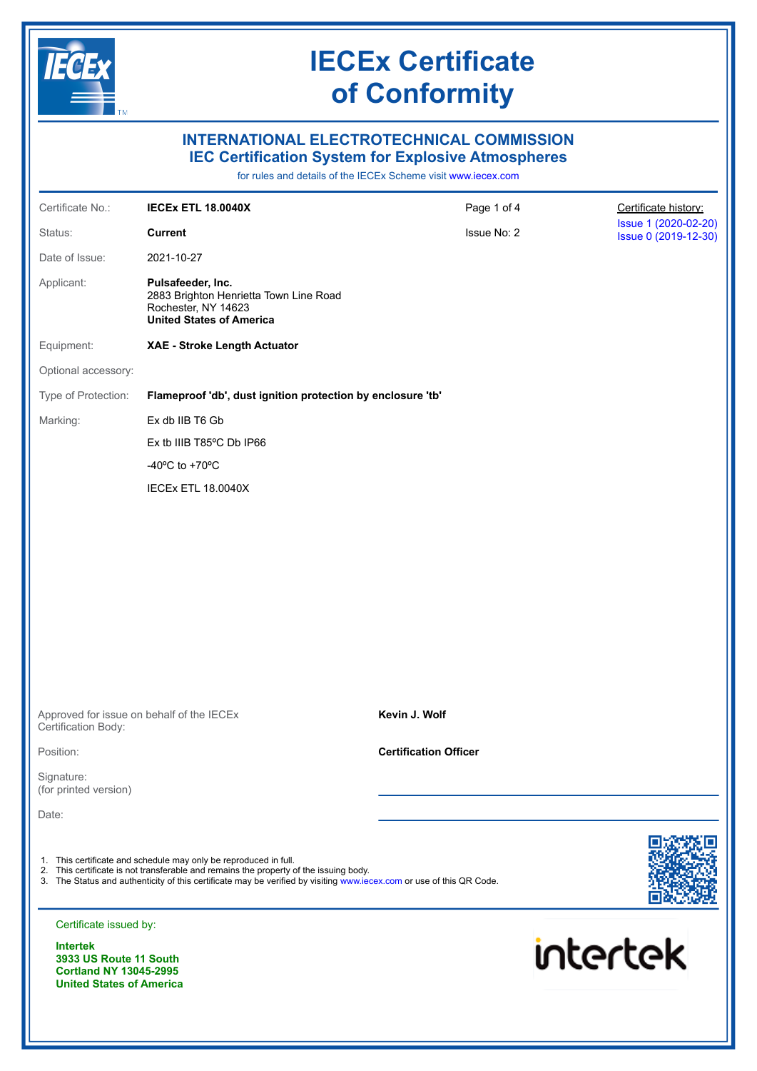

### **INTERNATIONAL ELECTROTECHNICAL COMMISSION IEC Certification System for Explosive Atmospheres**

for rules and details of the IECEx Scheme visit [www.iecex.com](https://www.iecex.com)

| Certificate No.:                                                                                              | <b>IECEX ETL 18.0040X</b>                                                                                                                                                                                                                                                         | Page 1 of 4                  | Certificate history:                         |
|---------------------------------------------------------------------------------------------------------------|-----------------------------------------------------------------------------------------------------------------------------------------------------------------------------------------------------------------------------------------------------------------------------------|------------------------------|----------------------------------------------|
| Status:                                                                                                       | <b>Current</b>                                                                                                                                                                                                                                                                    | Issue No: 2                  | Issue 1 (2020-02-20)<br>Issue 0 (2019-12-30) |
| Date of Issue:                                                                                                | 2021-10-27                                                                                                                                                                                                                                                                        |                              |                                              |
| Applicant:                                                                                                    | Pulsafeeder, Inc.<br>2883 Brighton Henrietta Town Line Road<br>Rochester, NY 14623<br><b>United States of America</b>                                                                                                                                                             |                              |                                              |
| Equipment:                                                                                                    | XAE - Stroke Length Actuator                                                                                                                                                                                                                                                      |                              |                                              |
| Optional accessory:                                                                                           |                                                                                                                                                                                                                                                                                   |                              |                                              |
| Type of Protection:                                                                                           | Flameproof 'db', dust ignition protection by enclosure 'tb'                                                                                                                                                                                                                       |                              |                                              |
| Marking:                                                                                                      | Ex db IIB T6 Gb                                                                                                                                                                                                                                                                   |                              |                                              |
|                                                                                                               | Ex tb IIIB T85°C Db IP66                                                                                                                                                                                                                                                          |                              |                                              |
|                                                                                                               | -40 $\mathrm{^{\circ}C}$ to +70 $\mathrm{^{\circ}C}$                                                                                                                                                                                                                              |                              |                                              |
|                                                                                                               | IECEx ETL 18.0040X                                                                                                                                                                                                                                                                |                              |                                              |
|                                                                                                               |                                                                                                                                                                                                                                                                                   |                              |                                              |
|                                                                                                               |                                                                                                                                                                                                                                                                                   |                              |                                              |
|                                                                                                               |                                                                                                                                                                                                                                                                                   |                              |                                              |
|                                                                                                               |                                                                                                                                                                                                                                                                                   |                              |                                              |
|                                                                                                               |                                                                                                                                                                                                                                                                                   |                              |                                              |
|                                                                                                               |                                                                                                                                                                                                                                                                                   |                              |                                              |
|                                                                                                               |                                                                                                                                                                                                                                                                                   |                              |                                              |
|                                                                                                               |                                                                                                                                                                                                                                                                                   |                              |                                              |
| Certification Body:                                                                                           | Approved for issue on behalf of the IECEx                                                                                                                                                                                                                                         | Kevin J. Wolf                |                                              |
| Position:                                                                                                     |                                                                                                                                                                                                                                                                                   | <b>Certification Officer</b> |                                              |
| Signature:<br>(for printed version)                                                                           |                                                                                                                                                                                                                                                                                   |                              |                                              |
| Date:                                                                                                         |                                                                                                                                                                                                                                                                                   |                              |                                              |
|                                                                                                               |                                                                                                                                                                                                                                                                                   |                              |                                              |
|                                                                                                               | 1. This certificate and schedule may only be reproduced in full.<br>2. This certificate is not transferable and remains the property of the issuing body.<br>3. The Status and authenticity of this certificate may be verified by visiting www.iecex.com or use of this QR Code. |                              |                                              |
| Certificate issued by:                                                                                        |                                                                                                                                                                                                                                                                                   |                              |                                              |
| <b>Intertek</b><br>3933 US Route 11 South<br><b>Cortland NY 13045-2995</b><br><b>United States of America</b> |                                                                                                                                                                                                                                                                                   |                              | intertek                                     |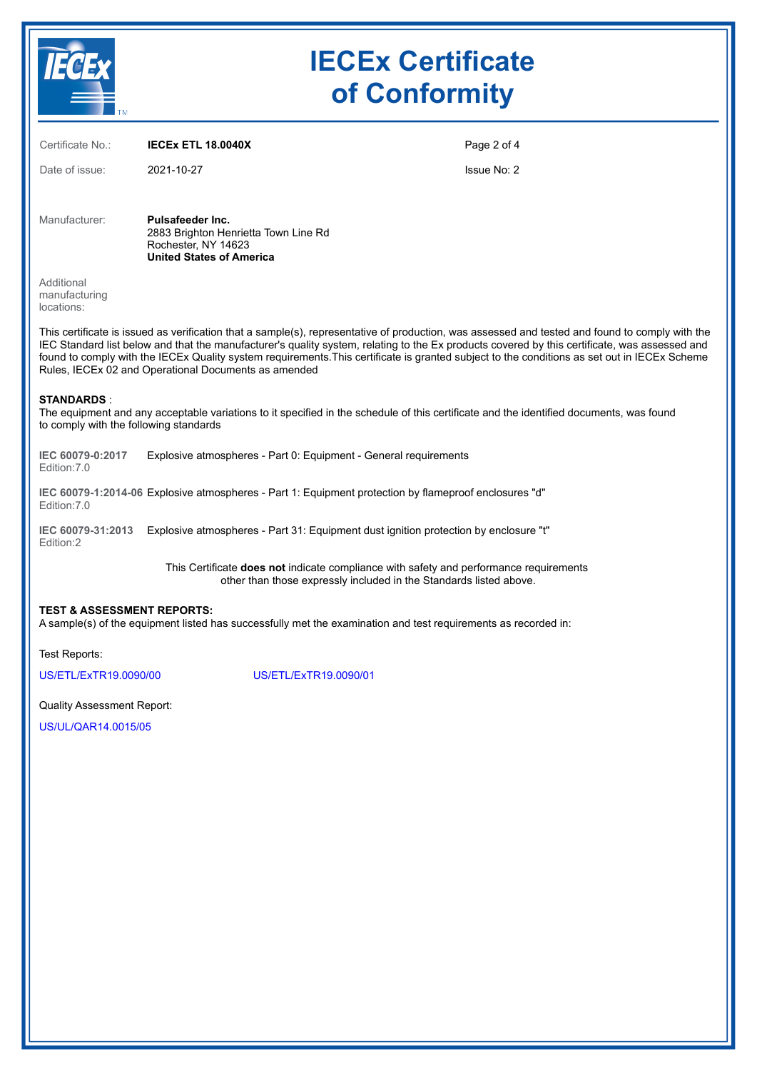

| Certificate No.:                          | <b>IECEX ETL 18.0040X</b>                                                                                                                                                                                                                                                                                                    | Page 2 of 4 |
|-------------------------------------------|------------------------------------------------------------------------------------------------------------------------------------------------------------------------------------------------------------------------------------------------------------------------------------------------------------------------------|-------------|
| Date of issue:                            | 2021-10-27                                                                                                                                                                                                                                                                                                                   | Issue No: 2 |
| Manufacturer:                             | Pulsafeeder Inc.<br>2883 Brighton Henrietta Town Line Rd<br>Rochester, NY 14623<br><b>United States of America</b>                                                                                                                                                                                                           |             |
| Additional<br>manufacturing<br>locations: |                                                                                                                                                                                                                                                                                                                              |             |
|                                           | This certificate is issued as verification that a sample(s), representative of production, was assessed a<br>IEC Standard list below and that the manufacturer's quality system, relating to the Ex products covere<br>found to comply with the IECEx Quality system requirements This certificate is granted subject to the |             |

and tested and found to comply with the IEC Standard list below and that the manufacturer's quality system, relating to the Ex products covered by this certificate, was assessed and found to comply with the IECEx Quality system requirements.This certificate is granted subject to the conditions as set out in IECEx Scheme Rules, IECEx 02 and Operational Documents as amended

#### **STANDARDS** :

The equipment and any acceptable variations to it specified in the schedule of this certificate and the identified documents, was found to comply with the following standards

**IEC 60079-0:2017** Edition:7.0 Explosive atmospheres - Part 0: Equipment - General requirements

**IEC 60079-1:2014-06** Explosive atmospheres - Part 1: Equipment protection by flameproof enclosures "d" Edition:7.0

**IEC 60079-31:2013** Explosive atmospheres - Part 31: Equipment dust ignition protection by enclosure "t" Edition:2

> This Certificate **does not** indicate compliance with safety and performance requirements other than those expressly included in the Standards listed above.

#### **TEST & ASSESSMENT REPORTS:**

A sample(s) of the equipment listed has successfully met the examination and test requirements as recorded in:

Test Reports:

[US/ETL/ExTR19.0090/00](https://www.iecex-certs.com/#/deliverables/REPORT/62359/view) [US/ETL/ExTR19.0090/01](https://www.iecex-certs.com/#/deliverables/REPORT/63932/view)

Quality Assessment Report:

[US/UL/QAR14.0015/05](https://www.iecex-certs.com/#/deliverables/REPORT/68266/view)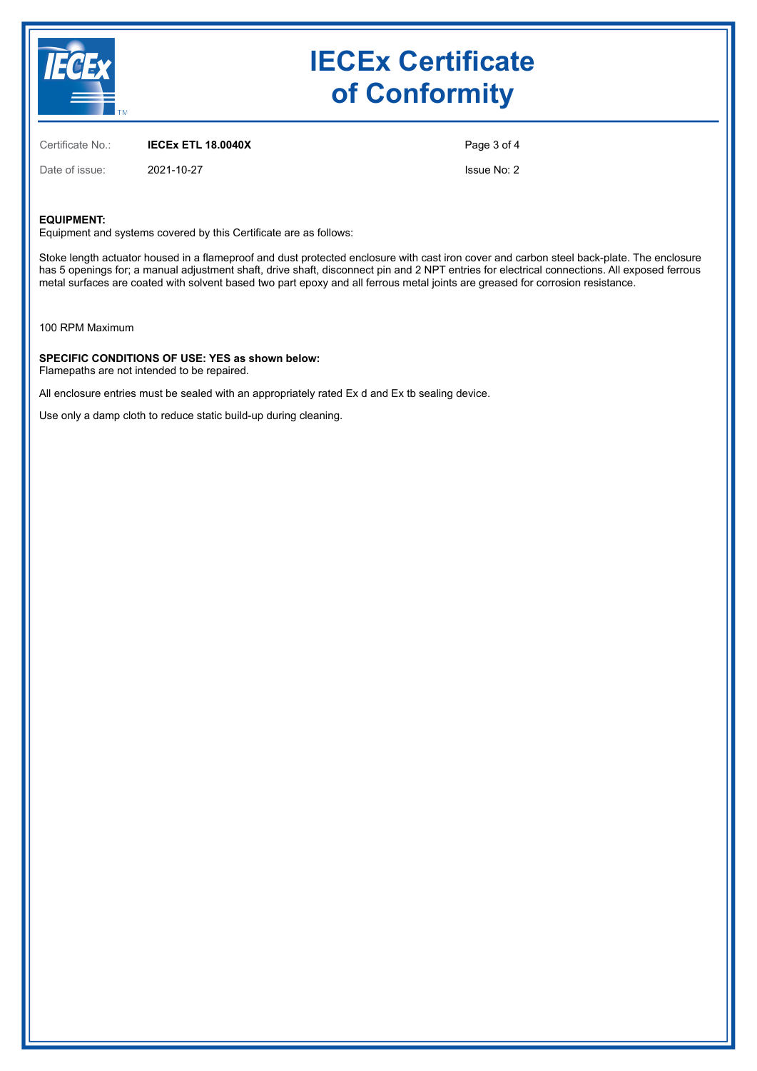

Certificate No.: **IECEx ETL 18.0040X**

Date of issue: 2021-10-27

Page 3 of 4

Issue No: 2

#### **EQUIPMENT:**

Equipment and systems covered by this Certificate are as follows:

Stoke length actuator housed in a flameproof and dust protected enclosure with cast iron cover and carbon steel back-plate. The enclosure has 5 openings for; a manual adjustment shaft, drive shaft, disconnect pin and 2 NPT entries for electrical connections. All exposed ferrous metal surfaces are coated with solvent based two part epoxy and all ferrous metal joints are greased for corrosion resistance.

100 RPM Maximum

**SPECIFIC CONDITIONS OF USE: YES as shown below:** Flamepaths are not intended to be repaired.

All enclosure entries must be sealed with an appropriately rated Ex d and Ex tb sealing device.

Use only a damp cloth to reduce static build-up during cleaning.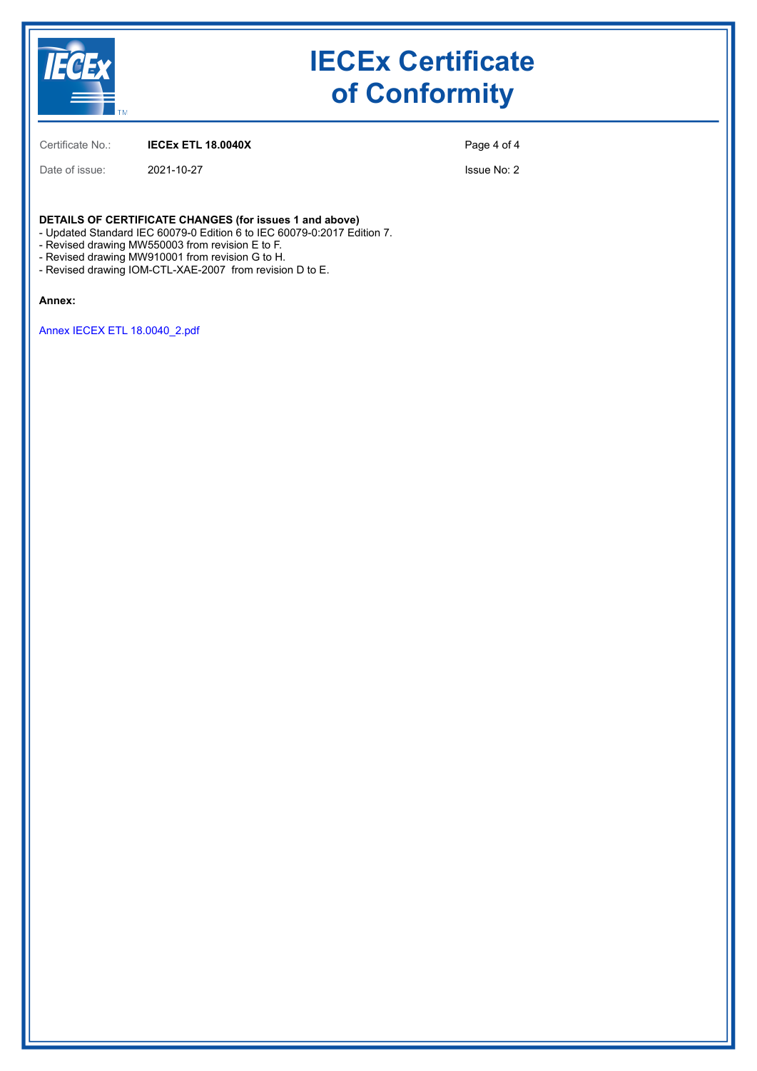

Certificate No.: **IECEx ETL 18.0040X**

Date of issue: 2021-10-27

Page 4 of 4

Issue No: 2

**DETAILS OF CERTIFICATE CHANGES (for issues 1 and above)**

- Updated Standard IEC 60079-0 Edition 6 to IEC 60079-0:2017 Edition 7.

- Revised drawing MW550003 from revision E to F.

- Revised drawing MW910001 from revision G to H.

- Revised drawing IOM-CTL-XAE-2007 from revision D to E.

#### **Annex:**

[Annex IECEX ETL 18.0040\\_2.pdf](https://www.iecex-certs.com/#/deliverables/CERT/57550/view)